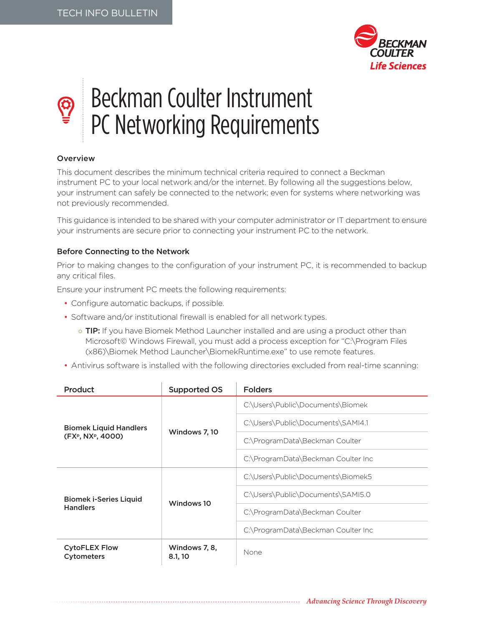

## Beckman Coulter Instrument PC Networking Requirements

## Overview

B

This document describes the minimum technical criteria required to connect a Beckman instrument PC to your local network and/or the internet. By following all the suggestions below, your instrument can safely be connected to the network; even for systems where networking was not previously recommended.

This guidance is intended to be shared with your computer administrator or IT department to ensure your instruments are secure prior to connecting your instrument PC to the network.

## Before Connecting to the Network

Prior to making changes to the configuration of your instrument PC, it is recommended to backup any critical files.

Ensure your instrument PC meets the following requirements:

- Configure automatic backups, if possible.
- Software and/or institutional firewall is enabled for all network types.
	- o TIP: If you have Biomek Method Launcher installed and are using a product other than Microsoft© Windows Firewall, you must add a process exception for "C:\Program Files (x86)\Biomek Method Launcher\BiomekRuntime.exe" to use remote features.
- Antivirus software is installed with the following directories excluded from real-time scanning:

| Product                                           | <b>Supported OS</b>      | <b>Folders</b>                     |
|---------------------------------------------------|--------------------------|------------------------------------|
| <b>Biomek Liquid Handlers</b><br>(FXP, NXP, 4000) | Windows 7, 10            | C:\Users\Public\Documents\Biomek   |
|                                                   |                          | C:\Users\Public\Documents\SAMI4.1  |
|                                                   |                          | C:\ProgramData\Beckman Coulter     |
|                                                   |                          | C:\ProgramData\Beckman Coulter Inc |
| <b>Biomek i-Series Liquid</b><br><b>Handlers</b>  | Windows 10               | C:\Users\Public\Documents\Biomek5  |
|                                                   |                          | C:\Users\Public\Documents\SAMI5.0  |
|                                                   |                          | C:\ProgramData\Beckman Coulter     |
|                                                   |                          | C:\ProgramData\Beckman Coulter Inc |
| <b>CytoFLEX Flow</b><br><b>Cytometers</b>         | Windows 7, 8,<br>8.1, 10 | None                               |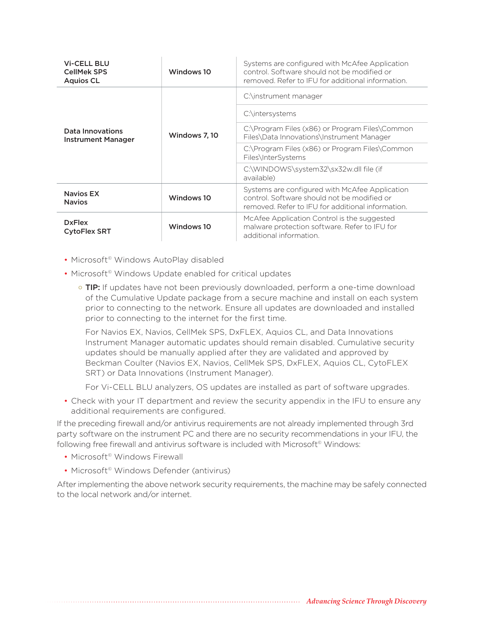| <b>Vi-CELL BLU</b><br><b>CellMek SPS</b><br><b>Aquios CL</b> | Windows 10    | Systems are configured with McAfee Application<br>control. Software should not be modified or<br>removed. Refer to IFU for additional information. |
|--------------------------------------------------------------|---------------|----------------------------------------------------------------------------------------------------------------------------------------------------|
| Data Innovations<br><b>Instrument Manager</b>                | Windows 7, 10 | C:\instrument manager                                                                                                                              |
|                                                              |               | C:\intersystems                                                                                                                                    |
|                                                              |               | C:\Program Files (x86) or Program Files\Common<br>Files\Data Innovations\Instrument Manager                                                        |
|                                                              |               | C:\Program Files (x86) or Program Files\Common<br>Files\InterSystems                                                                               |
|                                                              |               | C:\WINDOWS\system32\sx32w.dll file (if<br>available)                                                                                               |
| <b>Navios EX</b><br><b>Navios</b>                            | Windows 10    | Systems are configured with McAfee Application<br>control. Software should not be modified or<br>removed. Refer to IFU for additional information. |
| <b>DxFlex</b><br><b>CytoFlex SRT</b>                         | Windows 10    | McAfee Application Control is the suggested<br>malware protection software. Refer to IFU for<br>additional information.                            |

- Microsoft<sup>®</sup> Windows AutoPlay disabled
- Microsoft<sup>®</sup> Windows Update enabled for critical updates
	- o TIP: If updates have not been previously downloaded, perform a one-time download of the Cumulative Update package from a secure machine and install on each system prior to connecting to the network. Ensure all updates are downloaded and installed prior to connecting to the internet for the first time.

For Navios EX, Navios, CellMek SPS, DxFLEX, Aquios CL, and Data Innovations Instrument Manager automatic updates should remain disabled. Cumulative security updates should be manually applied after they are validated and approved by Beckman Coulter (Navios EX, Navios, CellMek SPS, DxFLEX, Aquios CL, CytoFLEX SRT) or Data Innovations (Instrument Manager).

For Vi-CELL BLU analyzers, OS updates are installed as part of software upgrades.

• Check with your IT department and review the security appendix in the IFU to ensure any additional requirements are configured.

If the preceding firewall and/or antivirus requirements are not already implemented through 3rd party software on the instrument PC and there are no security recommendations in your IFU, the following free firewall and antivirus software is included with Microsoft<sup>®</sup> Windows:

- Microsoft<sup>®</sup> Windows Firewall
- Microsoft<sup>®</sup> Windows Defender (antivirus)

After implementing the above network security requirements, the machine may be safely connected to the local network and/or internet.